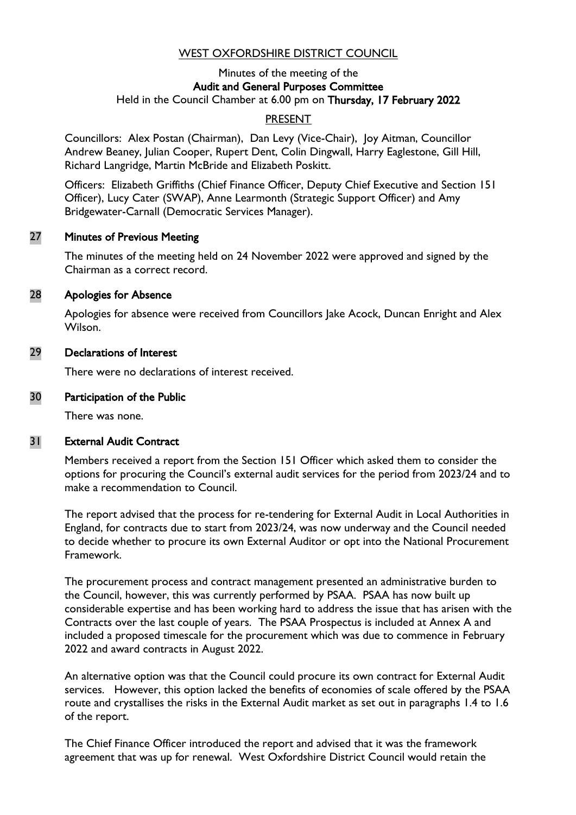## WEST OXFORDSHIRE DISTRICT COUNCIL

#### Minutes of the meeting of the Audit and General Purposes Committee Held in the Council Chamber at 6.00 pm on Thursday, 17 February 2022

## PRESENT

Councillors: Alex Postan (Chairman), Dan Levy (Vice-Chair), Joy Aitman, Councillor Andrew Beaney, Julian Cooper, Rupert Dent, Colin Dingwall, Harry Eaglestone, Gill Hill, Richard Langridge, Martin McBride and Elizabeth Poskitt.

Officers: Elizabeth Griffiths (Chief Finance Officer, Deputy Chief Executive and Section 151 Officer), Lucy Cater (SWAP), Anne Learmonth (Strategic Support Officer) and Amy Bridgewater-Carnall (Democratic Services Manager).

#### 27 Minutes of Previous Meeting

The minutes of the meeting held on 24 November 2022 were approved and signed by the Chairman as a correct record.

## 28 Apologies for Absence

Apologies for absence were received from Councillors Jake Acock, Duncan Enright and Alex Wilson.

### 29 Declarations of Interest

There were no declarations of interest received.

### 30 Participation of the Public

There was none.

## 31 External Audit Contract

Members received a report from the Section 151 Officer which asked them to consider the options for procuring the Council's external audit services for the period from 2023/24 and to make a recommendation to Council.

The report advised that the process for re-tendering for External Audit in Local Authorities in England, for contracts due to start from 2023/24, was now underway and the Council needed to decide whether to procure its own External Auditor or opt into the National Procurement Framework.

The procurement process and contract management presented an administrative burden to the Council, however, this was currently performed by PSAA. PSAA has now built up considerable expertise and has been working hard to address the issue that has arisen with the Contracts over the last couple of years. The PSAA Prospectus is included at Annex A and included a proposed timescale for the procurement which was due to commence in February 2022 and award contracts in August 2022.

An alternative option was that the Council could procure its own contract for External Audit services. However, this option lacked the benefits of economies of scale offered by the PSAA route and crystallises the risks in the External Audit market as set out in paragraphs 1.4 to 1.6 of the report.

The Chief Finance Officer introduced the report and advised that it was the framework agreement that was up for renewal. West Oxfordshire District Council would retain the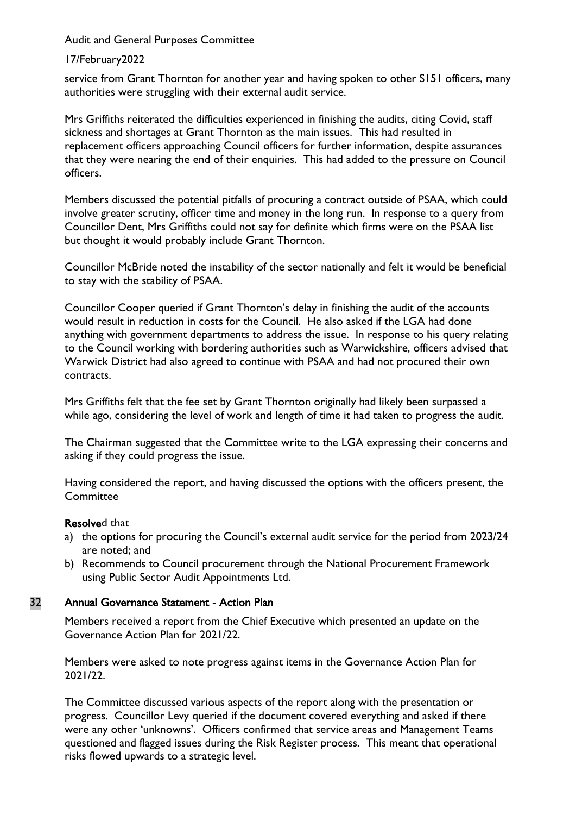Audit and General Purposes Committee

### 17/February2022

service from Grant Thornton for another year and having spoken to other S151 officers, many authorities were struggling with their external audit service.

Mrs Griffiths reiterated the difficulties experienced in finishing the audits, citing Covid, staff sickness and shortages at Grant Thornton as the main issues. This had resulted in replacement officers approaching Council officers for further information, despite assurances that they were nearing the end of their enquiries. This had added to the pressure on Council officers.

Members discussed the potential pitfalls of procuring a contract outside of PSAA, which could involve greater scrutiny, officer time and money in the long run. In response to a query from Councillor Dent, Mrs Griffiths could not say for definite which firms were on the PSAA list but thought it would probably include Grant Thornton.

Councillor McBride noted the instability of the sector nationally and felt it would be beneficial to stay with the stability of PSAA.

Councillor Cooper queried if Grant Thornton's delay in finishing the audit of the accounts would result in reduction in costs for the Council. He also asked if the LGA had done anything with government departments to address the issue. In response to his query relating to the Council working with bordering authorities such as Warwickshire, officers advised that Warwick District had also agreed to continue with PSAA and had not procured their own contracts.

Mrs Griffiths felt that the fee set by Grant Thornton originally had likely been surpassed a while ago, considering the level of work and length of time it had taken to progress the audit.

The Chairman suggested that the Committee write to the LGA expressing their concerns and asking if they could progress the issue.

Having considered the report, and having discussed the options with the officers present, the **Committee** 

#### Resolved that

- a) the options for procuring the Council's external audit service for the period from 2023/24 are noted; and
- b) Recommends to Council procurement through the National Procurement Framework using Public Sector Audit Appointments Ltd.

## 32 Annual Governance Statement - Action Plan

Members received a report from the Chief Executive which presented an update on the Governance Action Plan for 2021/22.

Members were asked to note progress against items in the Governance Action Plan for 2021/22.

The Committee discussed various aspects of the report along with the presentation or progress. Councillor Levy queried if the document covered everything and asked if there were any other 'unknowns'. Officers confirmed that service areas and Management Teams questioned and flagged issues during the Risk Register process. This meant that operational risks flowed upwards to a strategic level.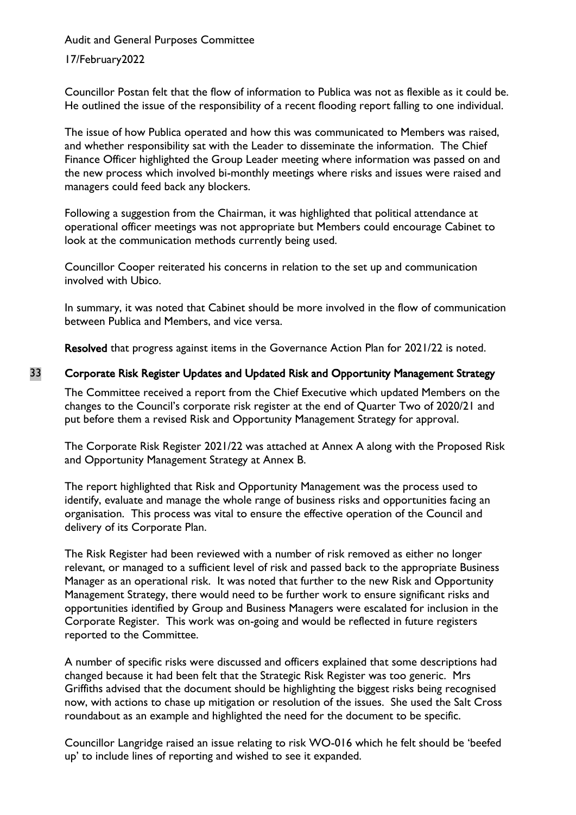Audit and General Purposes Committee

## 17/February2022

Councillor Postan felt that the flow of information to Publica was not as flexible as it could be. He outlined the issue of the responsibility of a recent flooding report falling to one individual.

The issue of how Publica operated and how this was communicated to Members was raised, and whether responsibility sat with the Leader to disseminate the information. The Chief Finance Officer highlighted the Group Leader meeting where information was passed on and the new process which involved bi-monthly meetings where risks and issues were raised and managers could feed back any blockers.

Following a suggestion from the Chairman, it was highlighted that political attendance at operational officer meetings was not appropriate but Members could encourage Cabinet to look at the communication methods currently being used.

Councillor Cooper reiterated his concerns in relation to the set up and communication involved with Ubico.

In summary, it was noted that Cabinet should be more involved in the flow of communication between Publica and Members, and vice versa.

Resolved that progress against items in the Governance Action Plan for 2021/22 is noted.

## 33 Corporate Risk Register Updates and Updated Risk and Opportunity Management Strategy

The Committee received a report from the Chief Executive which updated Members on the changes to the Council's corporate risk register at the end of Quarter Two of 2020/21 and put before them a revised Risk and Opportunity Management Strategy for approval.

The Corporate Risk Register 2021/22 was attached at Annex A along with the Proposed Risk and Opportunity Management Strategy at Annex B.

The report highlighted that Risk and Opportunity Management was the process used to identify, evaluate and manage the whole range of business risks and opportunities facing an organisation. This process was vital to ensure the effective operation of the Council and delivery of its Corporate Plan.

The Risk Register had been reviewed with a number of risk removed as either no longer relevant, or managed to a sufficient level of risk and passed back to the appropriate Business Manager as an operational risk. It was noted that further to the new Risk and Opportunity Management Strategy, there would need to be further work to ensure significant risks and opportunities identified by Group and Business Managers were escalated for inclusion in the Corporate Register. This work was on-going and would be reflected in future registers reported to the Committee.

A number of specific risks were discussed and officers explained that some descriptions had changed because it had been felt that the Strategic Risk Register was too generic. Mrs Griffiths advised that the document should be highlighting the biggest risks being recognised now, with actions to chase up mitigation or resolution of the issues. She used the Salt Cross roundabout as an example and highlighted the need for the document to be specific.

Councillor Langridge raised an issue relating to risk WO-016 which he felt should be 'beefed up' to include lines of reporting and wished to see it expanded.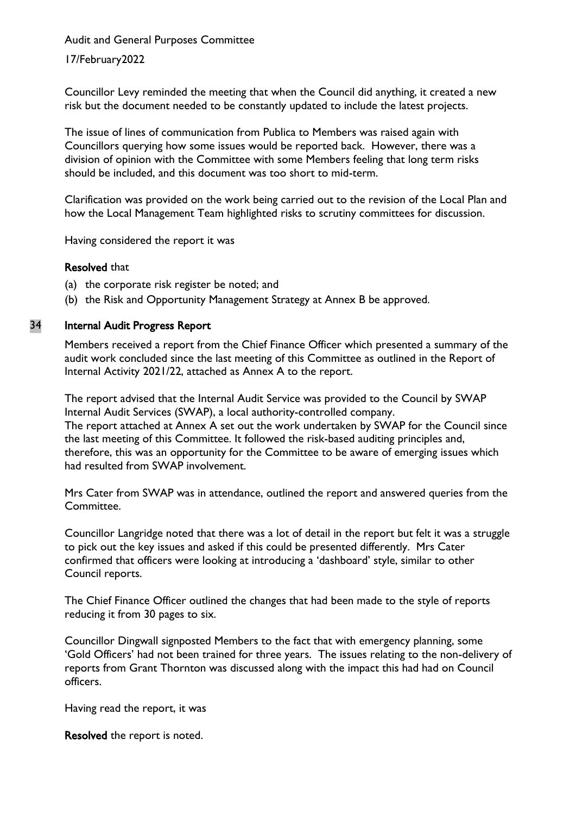Audit and General Purposes Committee

17/February2022

Councillor Levy reminded the meeting that when the Council did anything, it created a new risk but the document needed to be constantly updated to include the latest projects.

The issue of lines of communication from Publica to Members was raised again with Councillors querying how some issues would be reported back. However, there was a division of opinion with the Committee with some Members feeling that long term risks should be included, and this document was too short to mid-term.

Clarification was provided on the work being carried out to the revision of the Local Plan and how the Local Management Team highlighted risks to scrutiny committees for discussion.

Having considered the report it was

## Resolved that

- (a) the corporate risk register be noted; and
- (b) the Risk and Opportunity Management Strategy at Annex B be approved.

# 34 Internal Audit Progress Report

Members received a report from the Chief Finance Officer which presented a summary of the audit work concluded since the last meeting of this Committee as outlined in the Report of Internal Activity 2021/22, attached as Annex A to the report.

The report advised that the Internal Audit Service was provided to the Council by SWAP Internal Audit Services (SWAP), a local authority-controlled company. The report attached at Annex A set out the work undertaken by SWAP for the Council since the last meeting of this Committee. It followed the risk-based auditing principles and, therefore, this was an opportunity for the Committee to be aware of emerging issues which had resulted from SWAP involvement.

Mrs Cater from SWAP was in attendance, outlined the report and answered queries from the Committee.

Councillor Langridge noted that there was a lot of detail in the report but felt it was a struggle to pick out the key issues and asked if this could be presented differently. Mrs Cater confirmed that officers were looking at introducing a 'dashboard' style, similar to other Council reports.

The Chief Finance Officer outlined the changes that had been made to the style of reports reducing it from 30 pages to six.

Councillor Dingwall signposted Members to the fact that with emergency planning, some 'Gold Officers' had not been trained for three years. The issues relating to the non-delivery of reports from Grant Thornton was discussed along with the impact this had had on Council officers.

Having read the report, it was

Resolved the report is noted.